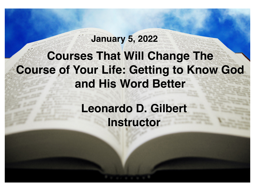## **Courses That Will Change The Course of Your Life: Getting to Know God and His Word Better**

**January 5, 2022**

### **Leonardo D. Gilbert Instructor**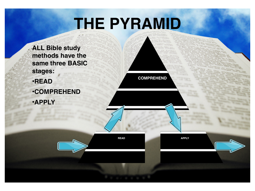## **THE PYRAMID**

**COMPREHEND**

**ALL Bible study methods have the same three BASIC stages:**

- •**READ**
- •**COMPREHEND**
- •**APPLY**

**READ APPLY**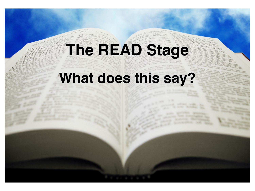**The READ Stage**

## **What does this say?**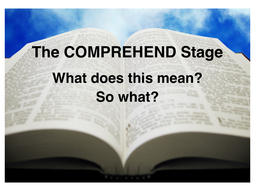# **The COMPREHEND Stage**

## **What does this mean?**

**So what?**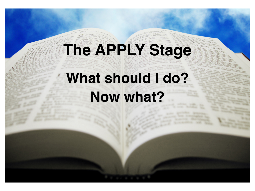# **The APPLY Stage What should I do?**

**Now what?**

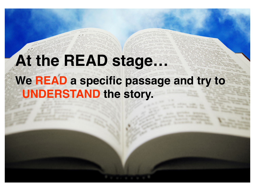## **At the READ stage...**

**We READ a specific passage and try to UNDERSTAND the story.**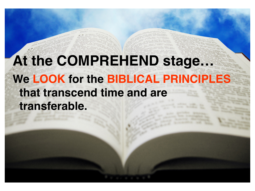## **At the COMPREHEND stage… We LOOK for the BIBLICAL PRINCIPLES that transcend time and are transferable.**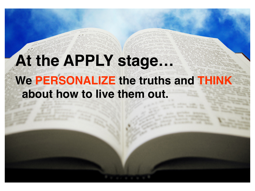# **At the APPLY stage…**

## **We PERSONALIZE the truths and THINK about how to live them out.**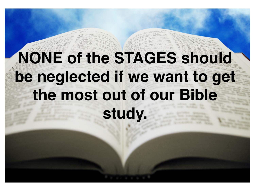# **NONE of the STAGES should be neglected if we want to get the most out of our Bible**

**study.**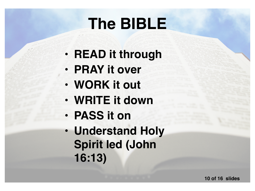## **The BIBLE**

- **READ it through**
- **PRAY it over**
- **WORK it out**
- **WRITE it down**
- **PASS it on**
- **Understand Holy Spirit led (John 16:13)**

**10 of 16 slides**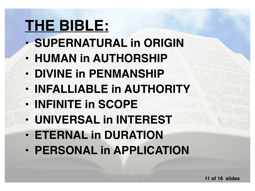## **THE BIBLE:**

- **SUPERNATURAL in ORIGIN**
- **HUMAN in AUTHORSHIP**
- **DIVINE in PENMANSHIP**
- **INFALLIABLE in AUTHORITY**
- **INFINITE in SCOPE**
- **UNIVERSAL in INTEREST**
- **ETERNAL in DURATION**
- **PERSONAL in APPLICATION**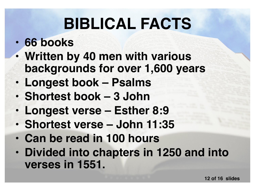## **BIBLICAL FACTS**

#### • **66 books**

- **Written by 40 men with various backgrounds for over 1,600 years**
- **Longest book Psalms**
- **Shortest book 3 John**
- **Longest verse Esther 8:9**
- **Shortest verse John 11:35**
- **Can be read in 100 hours**
- **Divided into chapters in 1250 and into verses in 1551.**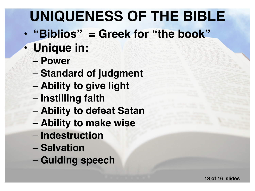## **UNIQUENESS OF THE BIBLE**

- **"Biblios" = Greek for "the book"**
- **Unique in:**
	- **Power**
	- **Standard of judgment**
	- **Ability to give light**
	- **Instilling faith**
	- **Ability to defeat Satan**
	- **Ability to make wise**
	- **Indestruction**
	- **Salvation**
	- **Guiding speech**

**13 of 16 slides**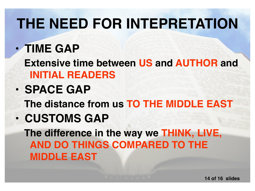## **THE NEED FOR INTEPRETATION**

• **TIME GAP Extensive time between US and AUTHOR and INITIAL READERS** • **SPACE GAP**

**The distance from us TO THE MIDDLE EAST**

• **CUSTOMS GAP**

**The difference in the way we THINK, LIVE, AND DO THINGS COMPARED TO THE MIDDLE EAST**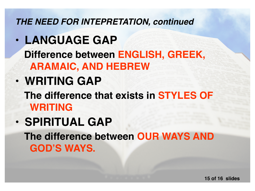*THE NEED FOR INTEPRETATION, continued*

• **LANGUAGE GAP Difference between ENGLISH, GREEK, ARAMAIC, AND HEBREW** • **WRITING GAP The difference that exists in STYLES OF WRITING** • **SPIRITUAL GAP**

**The difference between OUR WAYS AND GOD'S WAYS.**

**15 of 16 slides**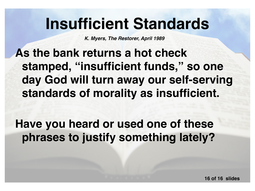## **Insufficient Standards**

*K. Myers, The Restorer, April 1989*

**As the bank returns a hot check stamped, "insufficient funds," so one day God will turn away our self-serving standards of morality as insufficient.** 

**Have you heard or used one of these phrases to justify something lately?**

**16 of 16 slides**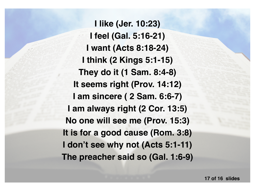**I like (Jer. 10:23) I feel (Gal. 5:16-21) I want (Acts 8:18-24) I think (2 Kings 5:1-15) They do it (1 Sam. 8:4-8) It seems right (Prov. 14:12) I am sincere ( 2 Sam. 6:6-7) I am always right (2 Cor. 13:5) No one will see me (Prov. 15:3) It is for a good cause (Rom. 3:8) I don't see why not (Acts 5:1-11) The preacher said so (Gal. 1:6-9)**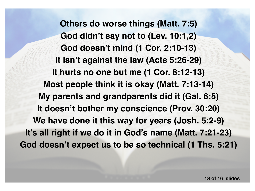**Others do worse things (Matt. 7:5) God didn't say not to (Lev. 10:1,2) God doesn't mind (1 Cor. 2:10-13) It isn't against the law (Acts 5:26-29) It hurts no one but me (1 Cor. 8:12-13) Most people think it is okay (Matt. 7:13-14) My parents and grandparents did it (Gal. 6:5) It doesn't bother my conscience (Prov. 30:20) We have done it this way for years (Josh. 5:2-9) It's all right if we do it in God's name (Matt. 7:21-23) God doesn't expect us to be so technical (1 Ths. 5:21)**

**18 of 16 slides**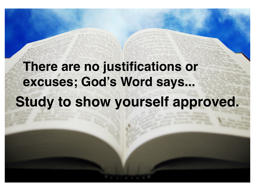## **Study to show yourself approved. There are no justifications or excuses; God's Word says...**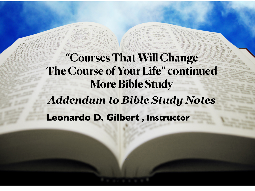**Leonardo D. Gilbert , Instructor "Courses That Will Change The Course of Your Life" continued More Bible Study** *Addendum to Bible Study Notes*

20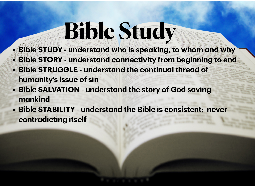# **Bible Study**

- **• Bible STUDY understand who is speaking, to whom and why • Bible STORY - understand connectivity from beginning to end**
- **• Bible STRUGGLE understand the continual thread of humanity's issue of sin**
- **• Bible SALVATION understand the story of God saving mankind**
- **• Bible STABILITY understand the Bible is consistent; never contradicting itself**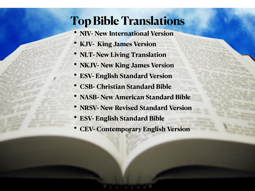#### **Top Bible Translations**

- **• NIV- New International Version**
- **• KJV- King James Version**
- **• NLT- New Living Translation**
- **• NKJV- New King James Version**
- **• ESV- English Standard Version**
- **• CSB- Christian Standard Bible**
- **• NASB- New American Standard Bible**
- **• NRSV- New Revised Standard Version**
- **• ESV- English Standard Bible**
- **• CEV- Contemporary English Version**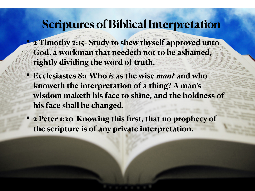#### **Scriptures of Biblical Interpretation**

- **• 2 Timothy 2:15- Study to shew thyself approved unto God, a workman that needeth not to be ashamed, rightly dividing the word of truth.**
- **• Ecclesiastes 8:1 [1](pocketsword:versemenu:1)Who** *is* **as the wise** *man***? and who knoweth the interpretation of a thing? A man's wisdom maketh his face to shine, and the boldness of his face shall be changed.**
- **2 Peter 1:20 Knowing this first, that no prophecy of the scripture is of any private interpretation.**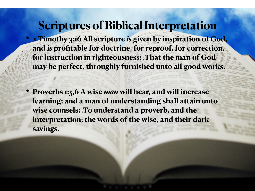#### **Scriptures of Biblical Interpretation**

- **• 2 Timothy 3:16 All scripture** *is* **given by inspiration of God, and** *is* **profitable for doctrine, for reproof, for correction,**  for instruction in righteousness: That the man of God **may be perfect, throughly furnished unto all good works.**
- **• Proverbs 1:5,6 A wise** *man* **will hear, and will increase learning; and a man of understanding shall attain unto wise counsels: [6](pocketsword:versemenu:6)To understand a proverb, and the interpretation; the words of the wise, and their dark sayings.**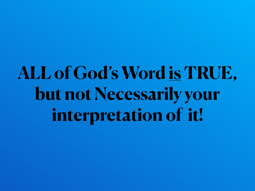# **ALL of God's Word is TRUE, but not Necessarily your interpretation of it!**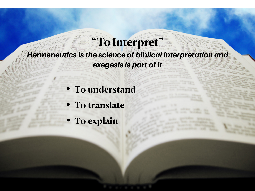*Hermeneutics is the science of biblical interpretation and* 

**"To Interpret"**

- *exegesis is part of it*
- **• To understand**
- **• To translate**
- **• To explain**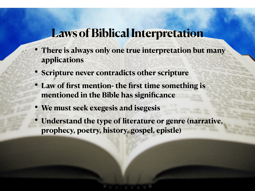- **• There is always only one true interpretation but many applications**
- **• Scripture never contradicts other scripture**
- **• Law of first mention- the first time something is mentioned in the Bible has significance**
- **• We must seek exegesis and isegesis**
- **• Understand the type of literature or genre (narrative, prophecy, poetry, history, gospel, epistle)**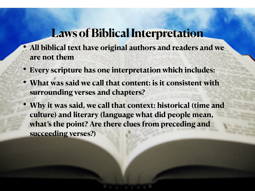- **• All biblical text have original authors and readers and we are not them**
- **• Every scripture has one interpretation which includes:**
- **• What was said we call that content: is it consistent with surrounding verses and chapters?**
- **• Why it was said, we call that context: historical (time and culture) and literary (language what did people mean, what's the point? Are there clues from preceding and succeeding verses?)**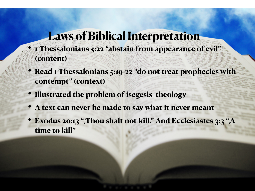- **• 1 Thessalonians 5:22 "abstain from appearance of evil" (content)**
- **• Read 1 Thessalonians 5:19-22 "do not treat prophecies with contempt" (context)**
- **• Illustrated the problem of isegesis theology**
- **• A text can never be made to say what it never meant**
- **Exodus 20:13 ". Thou shalt not kill." And Ecclesiastes 3:3 ".A time to kill"**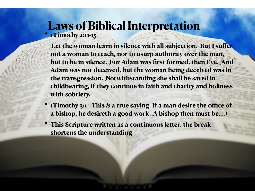**• 1Timothy 2:11-15**

**•**

Let the woman learn in silence with all subjection. But I suffer **not a woman to teach, nor to usurp authority over the man, but to be in silence. For Adam was first formed, then Eve. And Adam was not deceived, but the woman being deceived was in**  the transgression. Notwithstanding she shall be saved in **childbearing, if they continue in faith and charity and holiness with sobriety.**

- **• 1Timothy 3:1 "[1T](pocketsword:versemenu:1)his** *is* **a true saying, If a man desire the office of a bishop, he desireth a good work. [2A](pocketsword:versemenu:2) bishop then must be….)**
- **• This Scripture written as a continuous letter, the break shortens the understanding**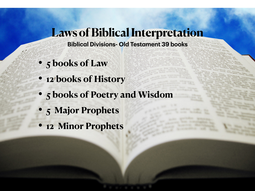- **Biblical Divisions- Old Testament 39 books**
- **• 5 books of Law**
- **• 12 books of History**
- **• 5 books of Poetry and Wisdom**
- **• 5 Major Prophets**
- **• 12 Minor Prophets**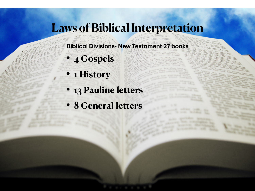#### **Biblical Divisions- New Testament 27 books**

#### **• 4 Gospels**

- **• 1 History**
- **• 13 Pauline letters**
- **• 8 General letters**